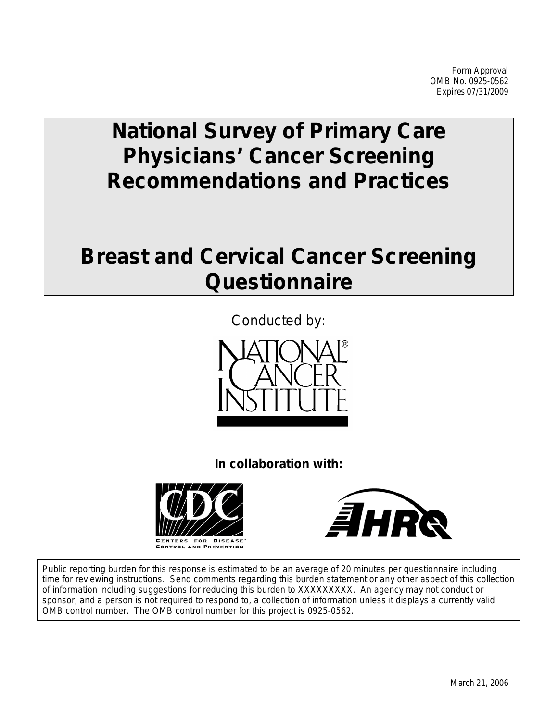# **National Survey of Primary Care Physicians' Cancer Screening Recommendations and Practices**

# **Breast and Cervical Cancer Screening Questionnaire**



**In collaboration with:**





Public reporting burden for this response is estimated to be an average of 20 minutes per questionnaire including time for reviewing instructions. Send comments regarding this burden statement or any other aspect of this collection of information including suggestions for reducing this burden to XXXXXXXXX. An agency may not conduct or sponsor, and a person is not required to respond to, a collection of information unless it displays a currently valid OMB control number. The OMB control number for this project is 0925-0562.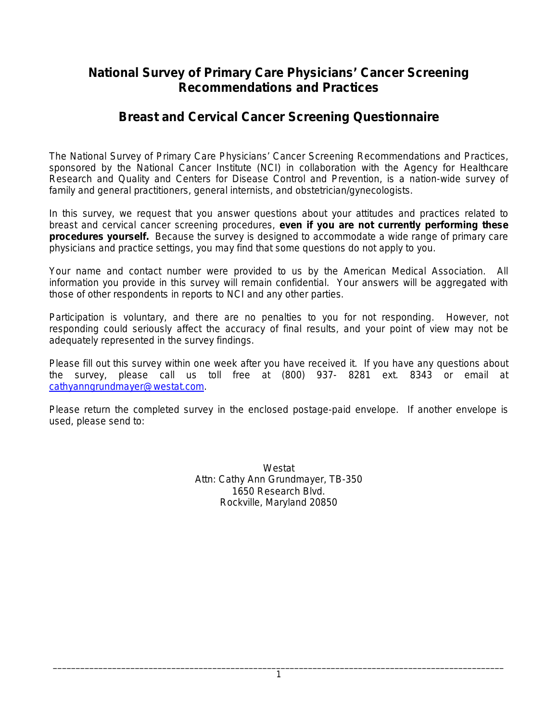# **National Survey of Primary Care Physicians' Cancer Screening Recommendations and Practices**

# **Breast and Cervical Cancer Screening Questionnaire**

The National Survey of Primary Care Physicians' Cancer Screening Recommendations and Practices, sponsored by the National Cancer Institute (NCI) in collaboration with the Agency for Healthcare Research and Quality and Centers for Disease Control and Prevention, is a nation-wide survey of family and general practitioners, general internists, and obstetrician/gynecologists.

In this survey, we request that you answer questions about your attitudes and practices related to breast and cervical cancer screening procedures, **even if you are not currently performing these procedures yourself.** Because the survey is designed to accommodate a wide range of primary care physicians and practice settings, you may find that some questions do not apply to you.

Your name and contact number were provided to us by the American Medical Association. All information you provide in this survey will remain confidential. Your answers will be aggregated with those of other respondents in reports to NCI and any other parties.

Participation is voluntary, and there are no penalties to you for not responding. However, not responding could seriously affect the accuracy of final results, and your point of view may not be adequately represented in the survey findings.

Please fill out this survey within one week after you have received it. If you have any questions about the survey, please call us toll free at (800) 937- 8281 ext. 8343 or email at [cathyanngrundmayer@westat.com.](mailto:allisonsullivan@westat.com)

Please return the completed survey in the enclosed postage-paid envelope. If another envelope is used, please send to:

> Westat Attn: Cathy Ann Grundmayer, TB-350 1650 Research Blvd. Rockville, Maryland 20850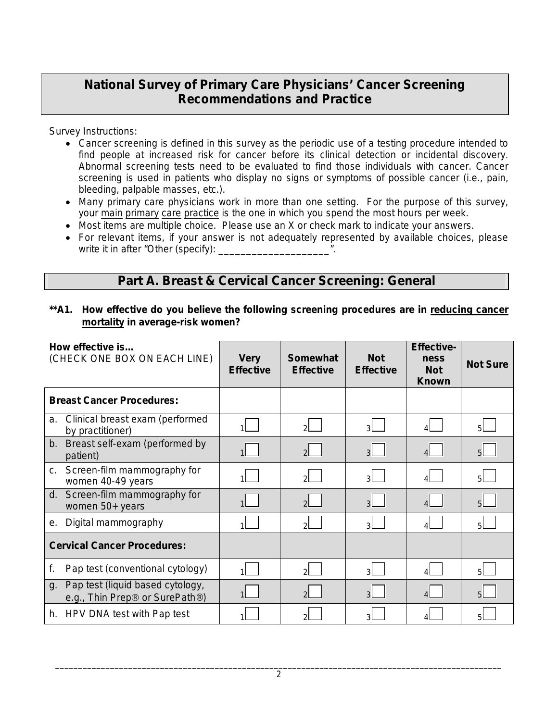# **National Survey of Primary Care Physicians' Cancer Screening Recommendations and Practice**

Survey Instructions:

- Cancer screening is defined in this survey as the periodic use of a testing procedure intended to find people at increased risk for cancer before its clinical detection or incidental discovery. Abnormal screening tests need to be evaluated to find those individuals with cancer. Cancer screening is used in patients who display no signs or symptoms of possible cancer (i.e., pain, bleeding, palpable masses, etc.).
- Many primary care physicians work in more than one setting. For the purpose of this survey, your main primary care practice is the one in which you spend the most hours per week.
- Most items are multiple choice. Please use an X or check mark to indicate your answers.
- For relevant items, if your answer is not adequately represented by available choices, please write it in after "Other (specify): \_\_\_\_\_\_

# **Part A. Breast & Cervical Cancer Screening: General**

## **\*\*A1. How effective do you believe the following screening procedures are in reducing cancer mortality in average-risk women?**

|    | How effective is<br>(CHECK ONE BOX ON EACH LINE)                   | <b>Very</b><br><b>Effective</b> | <b>Somewhat</b><br><b>Effective</b> | <b>Not</b><br><b>Effective</b> | <b>Effective-</b><br>ness<br><b>Not</b><br><b>Known</b> | <b>Not Sure</b> |
|----|--------------------------------------------------------------------|---------------------------------|-------------------------------------|--------------------------------|---------------------------------------------------------|-----------------|
|    | <b>Breast Cancer Procedures:</b>                                   |                                 |                                     |                                |                                                         |                 |
| a. | Clinical breast exam (performed<br>by practitioner)                | 11                              | $\mathcal{P}$                       | 3 <sup>1</sup>                 |                                                         | 5 <sup>1</sup>  |
|    | b. Breast self-exam (performed by<br>patient)                      |                                 | $\overline{2}$                      | 3 <sup>1</sup>                 |                                                         | 5L              |
| C. | Screen-film mammography for<br>women 40-49 years                   |                                 | $2^{\sim}$                          | зL                             |                                                         | 5               |
| d. | Screen-film mammography for<br>women 50+ years                     |                                 | $\overline{2}$                      | 3 <sup>1</sup>                 |                                                         | 5 <sup>1</sup>  |
| е. | Digital mammography                                                | $\mathbf{1}$                    | $\mathcal{P}$                       | зI                             |                                                         | 5 <sup>1</sup>  |
|    | <b>Cervical Cancer Procedures:</b>                                 |                                 |                                     |                                |                                                         |                 |
| f. | Pap test (conventional cytology)                                   |                                 | $\mathcal{P}$                       | зI.                            |                                                         | 51              |
| q. | Pap test (liquid based cytology,<br>e.g., Thin Prep® or SurePath®) |                                 | $\overline{2}$                      | $\mathsf{B}$                   |                                                         | 51              |
|    | h. HPV DNA test with Pap test                                      |                                 | 2                                   | 3                              |                                                         | 51              |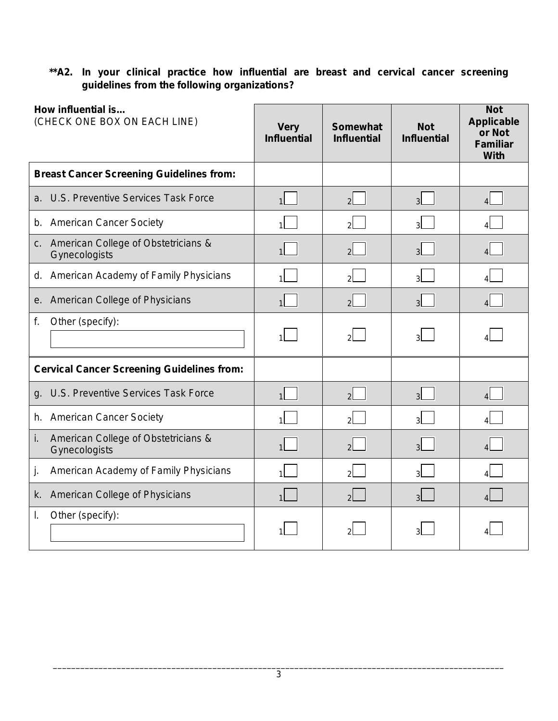## **\*\*A2. In your clinical practice how influential are breast and cervical cancer screening guidelines from the following organizations?**

| How influential is<br>(CHECK ONE BOX ON EACH LINE)         | <b>Very</b><br><b>Influential</b> | <b>Somewhat</b><br><b>Influential</b> | <b>Not</b><br><b>Influential</b> | <b>Not</b><br><b>Applicable</b><br>or Not<br><b>Familiar</b><br><b>With</b> |
|------------------------------------------------------------|-----------------------------------|---------------------------------------|----------------------------------|-----------------------------------------------------------------------------|
| <b>Breast Cancer Screening Guidelines from:</b>            |                                   |                                       |                                  |                                                                             |
| U.S. Preventive Services Task Force<br>a.                  |                                   | $\overline{2}$                        | 3 <sup>l</sup>                   | $\Delta$                                                                    |
| <b>American Cancer Society</b><br>b.                       |                                   | $\mathcal{P}$                         | વ્રા                             |                                                                             |
| c. American College of Obstetricians &<br>Gynecologists    |                                   | $\mathcal{P}$                         | зI                               |                                                                             |
| d. American Academy of Family Physicians                   |                                   | $\mathfrak{p}$                        | 31                               |                                                                             |
| e. American College of Physicians                          | 1 <sup>1</sup>                    | $\mathcal{P}$                         | $\overline{\mathbf{3}}$          | $\overline{A}$                                                              |
| f.<br>Other (specify):                                     |                                   | $\mathcal{P}$                         | $\overline{\mathbf{3}}$          |                                                                             |
| <b>Cervical Cancer Screening Guidelines from:</b>          |                                   |                                       |                                  |                                                                             |
| U.S. Preventive Services Task Force<br>g.                  |                                   | $\overline{2}$                        | $\mathbf{R}$                     |                                                                             |
| h. American Cancer Society                                 |                                   | $\mathcal{P}$                         |                                  |                                                                             |
| i.<br>American College of Obstetricians &<br>Gynecologists |                                   | $\overline{\phantom{0}}$              | $\overline{\mathbf{3}}$          |                                                                             |
| American Academy of Family Physicians<br>j.                |                                   | $\mathfrak{p}$                        | 3                                |                                                                             |
| American College of Physicians<br>k.                       |                                   | $\overline{2}$                        | લ                                |                                                                             |
| Other (specify):<br>I.                                     |                                   |                                       |                                  |                                                                             |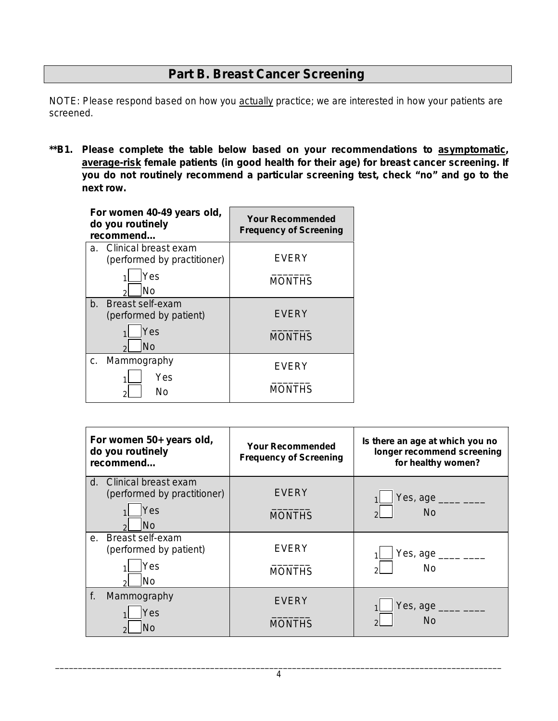# **Part B. Breast Cancer Screening**

NOTE: Please respond based on how you actually practice; we are interested in how your patients are screened.

**\*\*B1. Please complete the table below based on your recommendations to asymptomatic, average-risk female patients (in good health for their age) for breast cancer screening. If you do not routinely recommend a particular screening test, check "no" and go to the next row.**

| For women 40-49 years old,<br>do you routinely<br>recommend          | <b>Your Recommended</b><br><b>Frequency of Screening</b> |
|----------------------------------------------------------------------|----------------------------------------------------------|
| Clinical breast exam<br>a.<br>(performed by practitioner)            | EVERY                                                    |
| Yes<br>No                                                            | <b>MONTHS</b>                                            |
| <b>Breast self-exam</b><br>b.<br>(performed by patient)<br>Yes<br>No | <b>EVERY</b><br><b>MONTHS</b>                            |
| Mammography<br>C.<br>Yes<br>Nο                                       | <b>EVERY</b><br><b>MONTHS</b>                            |

| For women 50+ years old,<br>do you routinely<br>recommend                     | <b>Your Recommended</b><br><b>Frequency of Screening</b> | Is there an age at which you no<br>longer recommend screening<br>for healthy women?                                                                                                                                                                                                                                                                                                                                      |
|-------------------------------------------------------------------------------|----------------------------------------------------------|--------------------------------------------------------------------------------------------------------------------------------------------------------------------------------------------------------------------------------------------------------------------------------------------------------------------------------------------------------------------------------------------------------------------------|
| Clinical breast exam<br>d.<br>(performed by practitioner)<br>Yes<br><b>No</b> | <b>EVERY</b><br><b>MONTHS</b>                            | Yes, age ____ ___<br><b>No</b>                                                                                                                                                                                                                                                                                                                                                                                           |
| e. Breast self-exam<br>(performed by patient)<br>Yes<br>No.                   | <b>EVERY</b><br><b>MONTHS</b>                            | Yes, age $\frac{1}{\sqrt{1-\frac{1}{2}}\sqrt{1-\frac{1}{2}}\sqrt{1-\frac{1}{2}}\sqrt{1-\frac{1}{2}}\sqrt{1-\frac{1}{2}}\sqrt{1-\frac{1}{2}}\sqrt{1-\frac{1}{2}}\sqrt{1-\frac{1}{2}}\sqrt{1-\frac{1}{2}}\sqrt{1-\frac{1}{2}}\sqrt{1-\frac{1}{2}}\sqrt{1-\frac{1}{2}}\sqrt{1-\frac{1}{2}}\sqrt{1-\frac{1}{2}}\sqrt{1-\frac{1}{2}}\sqrt{1-\frac{1}{2}}\sqrt{1-\frac{1}{2}}\sqrt{1-\frac{1}{2}}\sqrt{1-\frac{1$<br><b>No</b> |
| f.<br>Mammography<br>Yes                                                      | <b>EVERY</b><br><b>MONTHS</b>                            | Yes, age $\_\_\_\_\_\_\_\_\_\_\_$<br><b>No</b>                                                                                                                                                                                                                                                                                                                                                                           |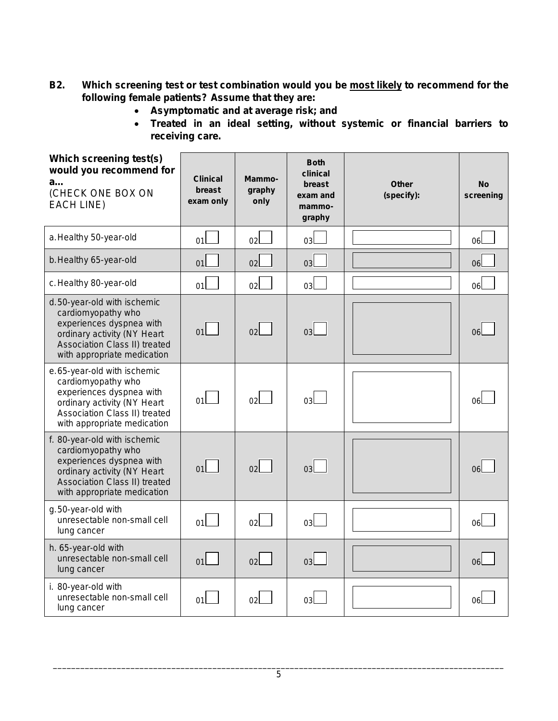- **B2. Which screening test or test combination would you be most likely to recommend for the following female patients? Assume that they are:**
	- **Asymptomatic and at average risk; and**
	- **Treated in an ideal setting, without systemic or financial barriers to receiving care.**

| Which screening test(s)<br>would you recommend for<br>a<br>(CHECK ONE BOX ON<br><b>EACH LINE)</b>                                                                             | <b>Clinical</b><br>breast<br>exam only | Mammo-<br>graphy<br>only | <b>Both</b><br>clinical<br>breast<br>exam and<br>mammo-<br>graphy | <b>Other</b><br>(specify): | <b>No</b><br>screening |
|-------------------------------------------------------------------------------------------------------------------------------------------------------------------------------|----------------------------------------|--------------------------|-------------------------------------------------------------------|----------------------------|------------------------|
| a. Healthy 50-year-old                                                                                                                                                        | 01                                     | 02l                      | 03l                                                               |                            | 06l                    |
| b. Healthy 65-year-old                                                                                                                                                        | 01                                     | 02 <sub>2</sub>          | 03 <sub>l</sub>                                                   |                            | 06l                    |
| c. Healthy 80-year-old                                                                                                                                                        | 01                                     | 02 <sub>l</sub>          | 03 <sub>l</sub>                                                   |                            | 06l                    |
| d.50-year-old with ischemic<br>cardiomyopathy who<br>experiences dyspnea with<br>ordinary activity (NY Heart<br>Association Class II) treated<br>with appropriate medication  | 01                                     | 02                       | 03 <sup>1</sup>                                                   |                            | 06 <sub>l</sub>        |
| e.65-year-old with ischemic<br>cardiomyopathy who<br>experiences dyspnea with<br>ordinary activity (NY Heart<br>Association Class II) treated<br>with appropriate medication  | 01                                     | 02                       | oзl                                                               |                            | lan                    |
| f. 80-year-old with ischemic<br>cardiomyopathy who<br>experiences dyspnea with<br>ordinary activity (NY Heart<br>Association Class II) treated<br>with appropriate medication | 01                                     | 02                       | 03                                                                |                            | 06l                    |
| g.50-year-old with<br>unresectable non-small cell<br>lung cancer                                                                                                              | 01                                     | 02 <sub>l</sub>          | 03                                                                |                            | 06L                    |
| h. 65-year-old with<br>unresectable non-small cell<br>lung cancer                                                                                                             | 01                                     | 02                       | 03                                                                |                            | 06L                    |
| i. 80-year-old with<br>unresectable non-small cell<br>lung cancer                                                                                                             | 01l                                    | 02                       | oзl                                                               |                            | 06l                    |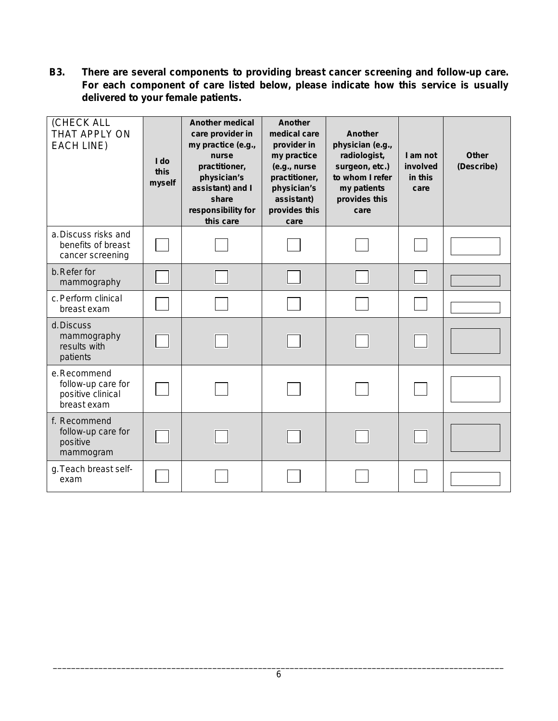**B3. There are several components to providing breast cancer screening and follow-up care. For each component of care listed below, please indicate how this service is usually delivered to your female patients.** 

| (CHECK ALL<br>THAT APPLY ON<br><b>EACH LINE)</b>                      | I do<br>this<br>myself | <b>Another medical</b><br>care provider in<br>my practice (e.g.,<br>nurse<br>practitioner,<br>physician's<br>assistant) and I<br>share<br>responsibility for<br>this care | Another<br>medical care<br>Another<br>provider in<br>physician (e.g.,<br>my practice<br>radiologist,<br>(e.g., nurse<br>surgeon, etc.)<br>to whom I refer<br>practitioner,<br>physician's<br>my patients<br>assistant)<br>provides this<br>provides this<br>care<br>care |  | I am not<br>involved<br>in this<br>care | <b>Other</b><br>(Describe) |
|-----------------------------------------------------------------------|------------------------|---------------------------------------------------------------------------------------------------------------------------------------------------------------------------|--------------------------------------------------------------------------------------------------------------------------------------------------------------------------------------------------------------------------------------------------------------------------|--|-----------------------------------------|----------------------------|
| a. Discuss risks and<br>benefits of breast<br>cancer screening        |                        |                                                                                                                                                                           |                                                                                                                                                                                                                                                                          |  |                                         |                            |
| b. Refer for<br>mammography                                           |                        |                                                                                                                                                                           |                                                                                                                                                                                                                                                                          |  |                                         |                            |
| c. Perform clinical<br>breast exam                                    |                        |                                                                                                                                                                           |                                                                                                                                                                                                                                                                          |  |                                         |                            |
| d. Discuss<br>mammography<br>results with<br>patients                 |                        |                                                                                                                                                                           |                                                                                                                                                                                                                                                                          |  |                                         |                            |
| e.Recommend<br>follow-up care for<br>positive clinical<br>breast exam |                        |                                                                                                                                                                           |                                                                                                                                                                                                                                                                          |  |                                         |                            |
| f. Recommend<br>follow-up care for<br>positive<br>mammogram           |                        |                                                                                                                                                                           |                                                                                                                                                                                                                                                                          |  |                                         |                            |
| g. Teach breast self-<br>exam                                         |                        |                                                                                                                                                                           |                                                                                                                                                                                                                                                                          |  |                                         |                            |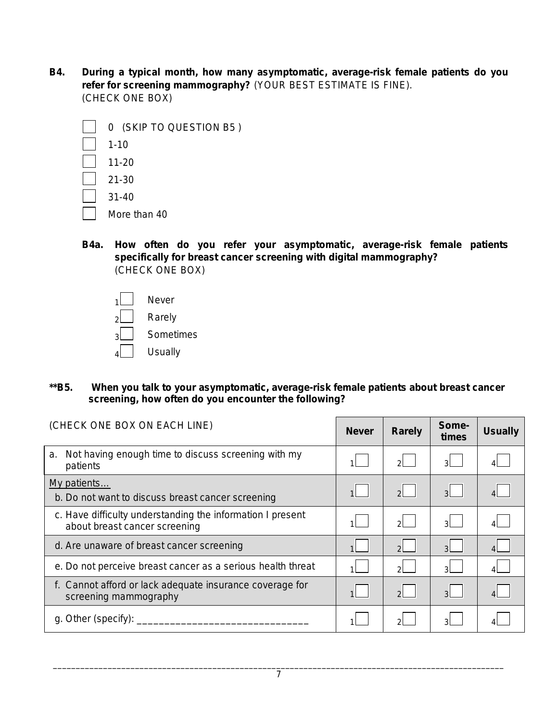**B4. During a typical month, how many asymptomatic, average-risk female patients do you refer for screening mammography?** (YOUR BEST ESTIMATE IS FINE). (CHECK ONE BOX)

| 0 (SKIP TO QUESTION B5) |
|-------------------------|
| $1 - 10$                |
| $11 - 20$               |
| $21 - 30$               |
| $31 - 40$               |
| More than 40            |

- **B4a. How often do you refer your asymptomatic, average-risk female patients specifically for breast cancer screening with digital mammography?** (CHECK ONE BOX)
	- $1$  Never  $2$  Rarely  $_3$  | Sometimes  $_4$  | Usually
- **\*\*B5. When you talk to your asymptomatic, average-risk female patients about breast cancer screening, how often do you encounter the following?**

| (CHECK ONE BOX ON EACH LINE)                                                                | <b>Never</b> | <b>Rarely</b>  | Some-<br>times | <b>Usually</b> |
|---------------------------------------------------------------------------------------------|--------------|----------------|----------------|----------------|
| Not having enough time to discuss screening with my<br>a.<br>patients                       |              | $\overline{2}$ | $\mathbf{R}$   |                |
| My patients<br>b. Do not want to discuss breast cancer screening                            | 1            | $\overline{2}$ | 3 <sup>1</sup> |                |
| c. Have difficulty understanding the information I present<br>about breast cancer screening |              | $\mathcal{D}$  | зL             |                |
| d. Are unaware of breast cancer screening                                                   |              | $\mathcal{P}$  | $\mathcal{R}$  |                |
| e. Do not perceive breast cancer as a serious health threat                                 |              | $\mathcal{P}$  | зI             |                |
| f. Cannot afford or lack adequate insurance coverage for<br>screening mammography           |              | $\overline{2}$ | $\mathcal{A}$  |                |
| g. Other (specify):                                                                         |              | $\mathcal{D}$  |                |                |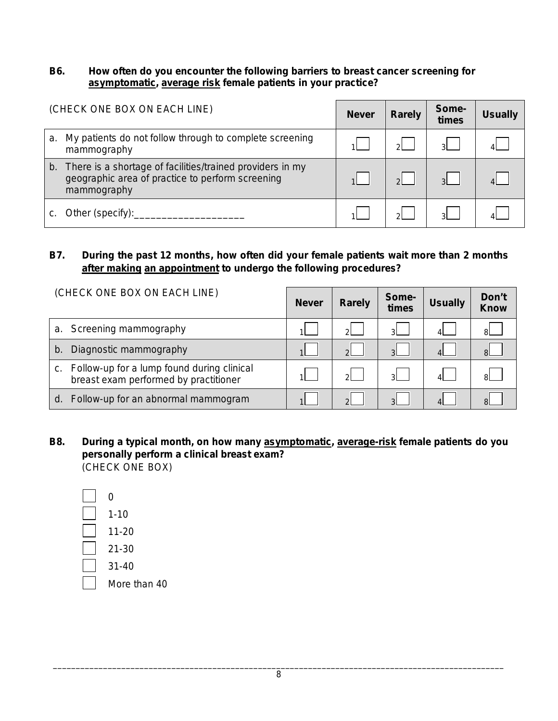### **B6. How often do you encounter the following barriers to breast cancer screening for asymptomatic, average risk female patients in your practice?**

| (CHECK ONE BOX ON EACH LINE) |                                                                                                                                 | <b>Never</b> | <b>Rarely</b> | Some-<br>times | <b>Usually</b> |
|------------------------------|---------------------------------------------------------------------------------------------------------------------------------|--------------|---------------|----------------|----------------|
| a.                           | My patients do not follow through to complete screening<br>mammography                                                          |              | ച             | વ              |                |
|                              | b. There is a shortage of facilities/trained providers in my<br>geographic area of practice to perform screening<br>mammography |              | $\Omega$      | $\mathbf{R}$   |                |
|                              | Other (specify):                                                                                                                |              |               |                |                |

## **B7. During the past 12 months, how often did your female patients wait more than 2 months after making an appointment to undergo the following procedures?**

| (CHECK ONE BOX ON EACH LINE)                                                              |  | <b>Rarely</b> | Some-<br>times | <b>Usually</b> | Don't<br><b>Know</b> |
|-------------------------------------------------------------------------------------------|--|---------------|----------------|----------------|----------------------|
| Screening mammography<br>a.                                                               |  | $\Omega$      | $\mathbf{a}$   |                | ЯI                   |
| Diagnostic mammography<br>b.                                                              |  | $\mathcal{D}$ | $\mathbf{r}$   |                | $\mathsf{R}$         |
| Follow-up for a lump found during clinical<br>C.<br>breast exam performed by practitioner |  | $\Omega$      | ി              |                | $\mathsf{R}$         |
| Follow-up for an abnormal mammogram<br>d.                                                 |  | $\Omega$      | $\Omega$       |                | $\mathsf{R}$         |

- **B8. During a typical month, on how many asymptomatic, average-risk female patients do you**  (CHECK ONE BOX) **personally perform a clinical breast exam?**
	- 0 1-10 11-20 21-30 31-40 More than 40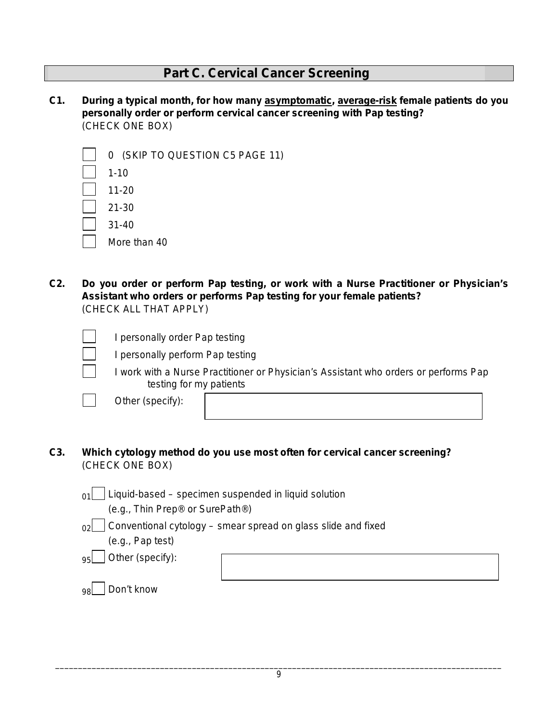## **Part C. Cervical Cancer Screening**

**C1. During a typical month, for how many asymptomatic, average-risk female patients do you**  (CHECK ONE BOX) **personally order or perform cervical cancer screening with Pap testing?**

| 0 (SKIP TO QUESTION C5 PAGE 11) |
|---------------------------------|
| $1 - 10$                        |
| $11 - 20$                       |
| $21 - 30$                       |
| $31 - 40$                       |
| More than 40                    |
|                                 |

**C2. Do you order or perform Pap testing, or work with a Nurse Practitioner or Physician's Assistant who orders or performs Pap testing for your female patients?**  (CHECK ALL THAT APPLY)

I personally order Pap testing

I personally perform Pap testing



Other *(specify)*:

**C3. Which cytology method do you use most often for cervical cancer screening?**  (CHECK ONE BOX)

 $_{01}$  | Liquid-based – specimen suspended in liquid solution

(*e.g.,* Thin Prep® or SurePath®)

 $_{02}$  Conventional cytology – smear spread on glass slide and fixed

(*e.g.,* Pap test)

95 Other (*specify*):

98 Don't know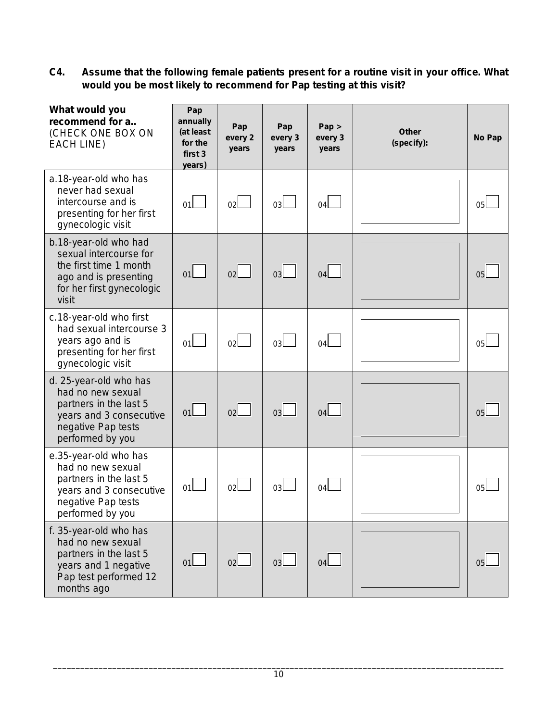**C4. Assume that the following female patients present for a routine visit in your office. What would you be most likely to recommend for Pap testing at this visit?**

| What would you<br>recommend for a<br>(CHECK ONE BOX ON<br><b>EACH LINE)</b>                                                                | Pap<br>annually<br>(at least<br>for the<br>first 3<br>years) | Pap<br>every 2<br>years | Pap<br>every 3<br>years | Pap ><br>every 3<br>years | <b>Other</b><br>(specify): | <b>No Pap</b>  |
|--------------------------------------------------------------------------------------------------------------------------------------------|--------------------------------------------------------------|-------------------------|-------------------------|---------------------------|----------------------------|----------------|
| a.18-year-old who has<br>never had sexual<br>intercourse and is<br>presenting for her first<br>gynecologic visit                           | 01                                                           | 02l                     | 03L                     | 04l                       |                            | 05l            |
| b.18-year-old who had<br>sexual intercourse for<br>the first time 1 month<br>ago and is presenting<br>for her first gynecologic<br>visit   | 01                                                           | 02                      | 03                      | 04                        |                            | 0 <sub>5</sub> |
| c.18-year-old who first<br>had sexual intercourse 3<br>years ago and is<br>presenting for her first<br>gynecologic visit                   | 01                                                           | 02                      | 03                      | 04                        |                            | 05             |
| d. 25-year-old who has<br>had no new sexual<br>partners in the last 5<br>years and 3 consecutive<br>negative Pap tests<br>performed by you | 01                                                           | 02                      | 03                      | 04                        |                            | 0 <sub>5</sub> |
| e.35-year-old who has<br>had no new sexual<br>partners in the last 5<br>years and 3 consecutive<br>negative Pap tests<br>performed by you  | 01                                                           | 02 <sub>l</sub>         | 03l                     | 04                        |                            | 05             |
| f. 35-year-old who has<br>had no new sexual<br>partners in the last 5<br>years and 1 negative<br>Pap test performed 12<br>months ago       | 01                                                           | 02                      | 03                      | 04 <sub>l</sub>           |                            | 05             |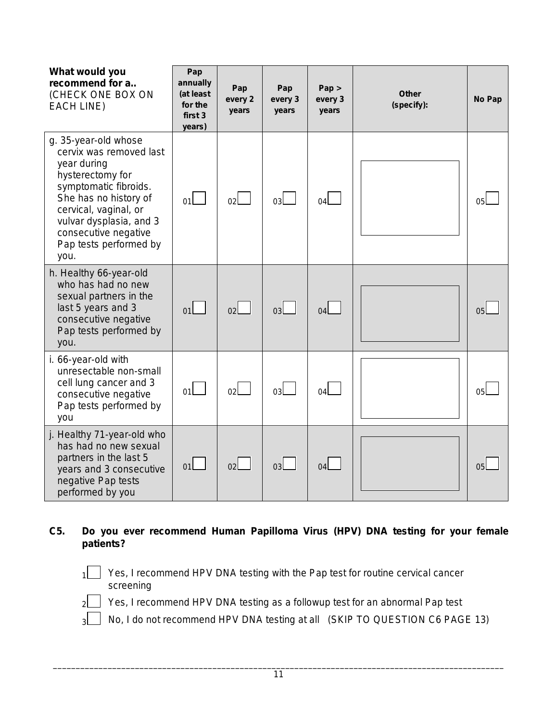| What would you<br>recommend for a<br>(CHECK ONE BOX ON<br><b>EACH LINE)</b>                                                                                                                                                                        | Pap<br>annually<br>(at least<br>for the<br>first 3<br>years) | Pap<br>every 2<br>years | Pap<br>every 3<br>years | Pap ><br>every 3<br>years | <b>Other</b><br>(specify): | No Pap         |
|----------------------------------------------------------------------------------------------------------------------------------------------------------------------------------------------------------------------------------------------------|--------------------------------------------------------------|-------------------------|-------------------------|---------------------------|----------------------------|----------------|
| g. 35-year-old whose<br>cervix was removed last<br>year during<br>hysterectomy for<br>symptomatic fibroids.<br>She has no history of<br>cervical, vaginal, or<br>vulvar dysplasia, and 3<br>consecutive negative<br>Pap tests performed by<br>you. | 01                                                           | 02                      | 03l                     | 04                        |                            | 0 <sub>5</sub> |
| h. Healthy 66-year-old<br>who has had no new<br>sexual partners in the<br>last 5 years and 3<br>consecutive negative<br>Pap tests performed by<br>you.                                                                                             | 01                                                           | 02 <sub>l</sub>         | 03                      | 04                        |                            | 0 <sub>5</sub> |
| i. 66-year-old with<br>unresectable non-small<br>cell lung cancer and 3<br>consecutive negative<br>Pap tests performed by<br>you                                                                                                                   | 01                                                           | 02                      | 03 <sub>l</sub>         | 04                        |                            | 05             |
| j. Healthy 71-year-old who<br>has had no new sexual<br>partners in the last 5<br>years and 3 consecutive<br>negative Pap tests<br>performed by you                                                                                                 | 01                                                           | 02                      | 03                      | 04                        |                            | 05             |

## **C5. Do you ever recommend Human Papilloma Virus (HPV) DNA testing for your female patients?**

 $1$  Yes, I recommend HPV DNA testing with the Pap test for routine cervical cancer screening

 $2$  Yes, I recommend HPV DNA testing as a followup test for an abnormal Pap test

3 No, I do not recommend HPV DNA testing at all (SKIP TO QUESTION C6 PAGE 13)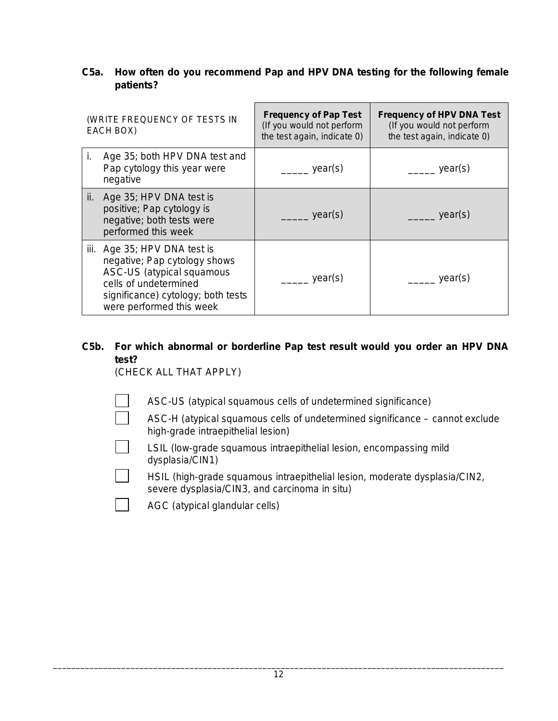## **C5a. How often do you recommend Pap and HPV DNA testing for the following female patients?**

|     | (WRITE FREQUENCY OF TESTS IN<br>EACH BOX)                                                                                                                                            | <b>Frequency of Pap Test</b><br>(If you would not perform<br>the test again, indicate 0) | <b>Frequency of HPV DNA Test</b><br>(If you would not perform<br>the test again, indicate 0) |
|-----|--------------------------------------------------------------------------------------------------------------------------------------------------------------------------------------|------------------------------------------------------------------------------------------|----------------------------------------------------------------------------------------------|
| i.  | Age 35; both HPV DNA test and<br>Pap cytology this year were<br>negative                                                                                                             | year(s)                                                                                  | year(s)                                                                                      |
| ii. | Age 35; HPV DNA test is<br>positive; Pap cytology is<br>negative; both tests were<br>performed this week                                                                             | year(s)                                                                                  | year(s)                                                                                      |
|     | iii. Age 35; HPV DNA test is<br>negative; Pap cytology shows<br>ASC-US (atypical squamous<br>cells of undetermined<br>significance) cytology; both tests<br>were performed this week | year(s)                                                                                  | year(s)                                                                                      |

## **C5b. For which abnormal or borderline Pap test result would you order an HPV DNA test?**

(CHECK ALL THAT APPLY)

- ASC-US (atypical squamous cells of undetermined significance)
- ASC-H (atypical squamous cells of undetermined significance cannot exclude high-grade intraepithelial lesion)
- LSIL (low-grade squamous intraepithelial lesion, encompassing mild dysplasia/CIN1)
- HSIL (high-grade squamous intraepithelial lesion, moderate dysplasia/CIN2, severe dysplasia/CIN3, and carcinoma *in situ*)
- AGC (atypical glandular cells)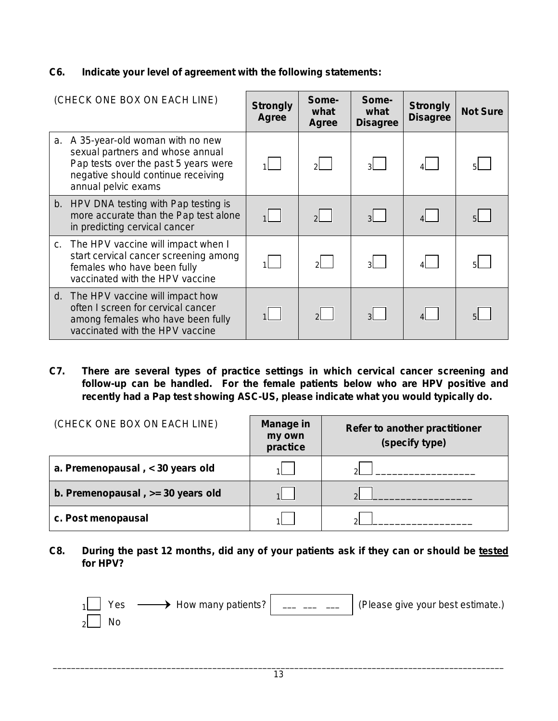## **C6. Indicate your level of agreement with the following statements:**

| (CHECK ONE BOX ON EACH LINE)                                                                                                                                                | <b>Strongly</b><br><b>Agree</b> | Some-<br>what<br><b>Agree</b> | Some-<br>what<br><b>Disagree</b> | <b>Strongly</b><br><b>Disagree</b> | <b>Not Sure</b> |
|-----------------------------------------------------------------------------------------------------------------------------------------------------------------------------|---------------------------------|-------------------------------|----------------------------------|------------------------------------|-----------------|
| a. A 35-year-old woman with no new<br>sexual partners and whose annual<br>Pap tests over the past 5 years were<br>negative should continue receiving<br>annual pelvic exams |                                 | $2^{\vert}$                   | $\mathbf{R}$                     |                                    |                 |
| b. HPV DNA testing with Pap testing is<br>more accurate than the Pap test alone<br>in predicting cervical cancer                                                            |                                 | 2                             | $\mathbf{3}$                     |                                    |                 |
| c. The HPV vaccine will impact when I<br>start cervical cancer screening among<br>females who have been fully<br>vaccinated with the HPV vaccine                            |                                 | 21.                           | 3 <sup>1</sup>                   |                                    |                 |
| d. The HPV vaccine will impact how<br>often I screen for cervical cancer<br>among females who have been fully<br>vaccinated with the HPV vaccine                            |                                 | $\mathcal{D}$                 | 3 <sup>1</sup>                   |                                    |                 |

**C7. There are several types of practice settings in which cervical cancer screening and follow-up can be handled. For the female patients below who are HPV positive and recently had a Pap test showing ASC-US, please indicate what you would typically do.** 

| (CHECK ONE BOX ON EACH LINE)      | <b>Manage in</b><br>my own<br>practice | Refer to another practitioner<br>(specify type) |
|-----------------------------------|----------------------------------------|-------------------------------------------------|
| a. Premenopausal, < 30 years old  |                                        | ച                                               |
| b. Premenopausal, >= 30 years old |                                        | $\Omega$                                        |
| c. Post menopausal                |                                        | $\sim$                                          |

**C8. During the past 12 months, did any of your patients ask if they can or should be tested for HPV?**

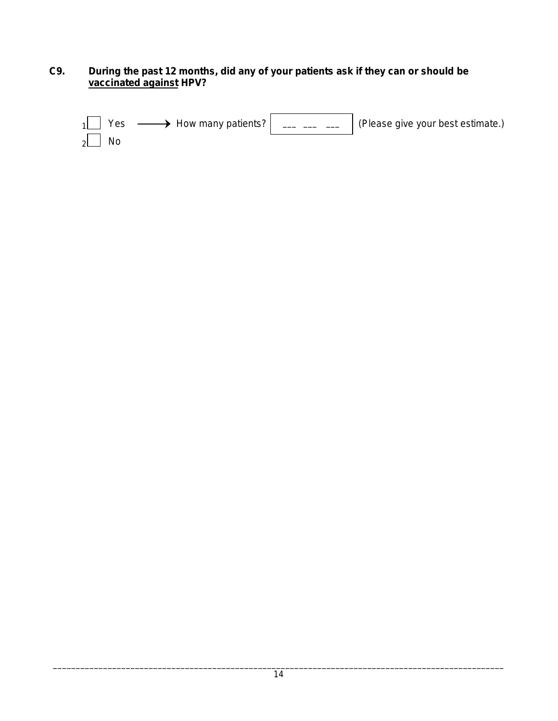## **C9. During the past 12 months, did any of your patients ask if they can or should be vaccinated against HPV?**

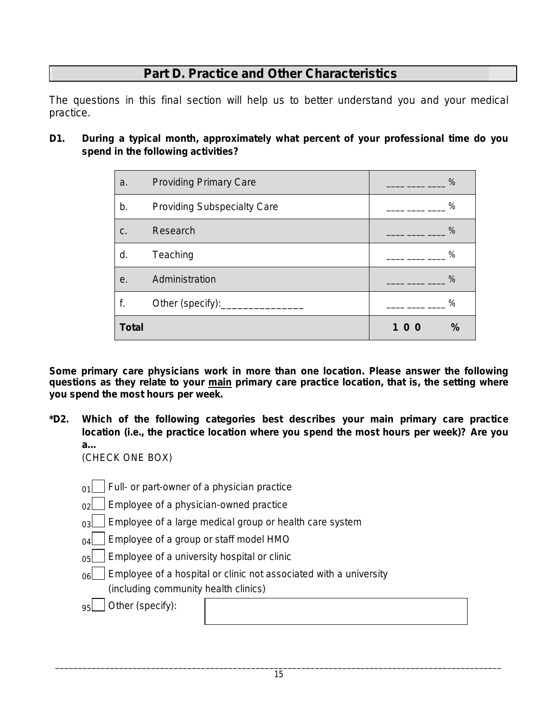# **Part D. Practice and Other Characteristics**

The questions in this final section will help us to better understand you and your medical practice.

**D1. During a typical month, approximately what percent of your professional time do you spend in the following activities?**

| a.           | <b>Providing Primary Care</b>      | $\%$                 |
|--------------|------------------------------------|----------------------|
| b.           | <b>Providing Subspecialty Care</b> | $\%$                 |
| C.           | Research                           | $\%$                 |
| d.           | Teaching                           | $\%$                 |
| е.           | Administration                     | $\frac{0}{0}$        |
| f.           | Other (specify):__________________ | $\%$                 |
| <b>Total</b> |                                    | $\frac{9}{6}$<br>100 |

*Some primary care physicians work in more than one location. Please answer the following questions as they relate to your main primary care practice location, that is, the setting where you spend the most hours per week.*

**\*D2. Which of the following categories best describes your main primary care practice location (i.e., the practice location where you spend the most hours per week)? Are you a…** 

(CHECK ONE BOX)

- $_{01}$  Full- or part-owner of a physician practice
- $_{02}$  | Employee of a physician-owned practice
- $_{03}$  Employee of a large medical group or health care system
- $_{04}$  Employee of a group or staff model HMO
- $_{05}$  | Employee of a university hospital or clinic
- $_{06}$  | Employee of a hospital or clinic not associated with a university (including community health clinics)

 $|95|$  Other (specify):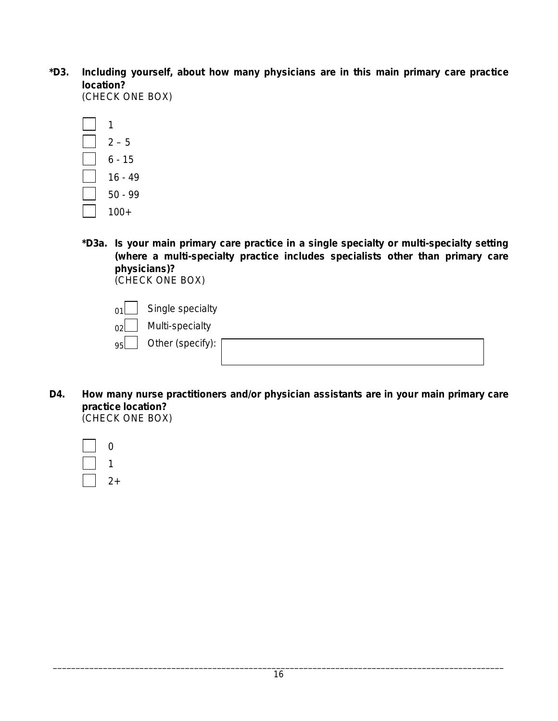**\*D3. Including yourself, about how many physicians are in this main primary care practice location?** 

(CHECK ONE BOX)

| 1         |
|-----------|
| $2 - 5$   |
| 6 - 15    |
| $16 - 49$ |
| 50 - 99   |
| $100+$    |

**\*D3a. Is your main primary care practice in a single specialty or multi-specialty setting (where a multi-specialty practice includes specialists other than primary care physicians)?**  (CHECK ONE BOX)

 $_{01}$  Single specialty

 $_{02}$  Multi-specialty

95 Other (*specify):* 

**D4. How many nurse practitioners and/or physician assistants are in your main primary care practice location?**  (CHECK ONE BOX)

| 1      |
|--------|
| +<br>2 |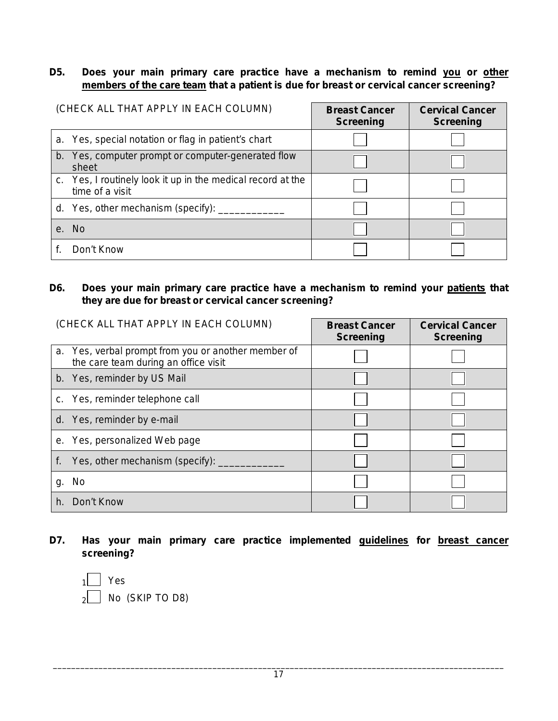## **D5. Does your main primary care practice have a mechanism to remind you or other members of the care team that a patient is due for breast or cervical cancer screening?**

| (CHECK ALL THAT APPLY IN EACH COLUMN)                                          | <b>Breast Cancer</b><br><b>Screening</b> | <b>Cervical Cancer</b><br><b>Screening</b> |
|--------------------------------------------------------------------------------|------------------------------------------|--------------------------------------------|
| a. Yes, special notation or flag in patient's chart                            |                                          |                                            |
| b. Yes, computer prompt or computer-generated flow<br>sheet                    |                                          |                                            |
| c. Yes, I routinely look it up in the medical record at the<br>time of a visit |                                          |                                            |
| d. Yes, other mechanism (specify): ____                                        |                                          |                                            |
| e. No                                                                          |                                          |                                            |
| Don't Know                                                                     |                                          |                                            |

## **D6. Does your main primary care practice have a mechanism to remind your patients that they are due for breast or cervical cancer screening?**

| (CHECK ALL THAT APPLY IN EACH COLUMN)                                                       | <b>Breast Cancer</b><br><b>Screening</b> | <b>Cervical Cancer</b><br><b>Screening</b> |
|---------------------------------------------------------------------------------------------|------------------------------------------|--------------------------------------------|
| a. Yes, verbal prompt from you or another member of<br>the care team during an office visit |                                          |                                            |
| b. Yes, reminder by US Mail                                                                 |                                          |                                            |
| c. Yes, reminder telephone call                                                             |                                          |                                            |
| d. Yes, reminder by e-mail                                                                  |                                          |                                            |
| e. Yes, personalized Web page                                                               |                                          |                                            |
| Yes, other mechanism (specify):<br>f.                                                       |                                          |                                            |
| g. No                                                                                       |                                          |                                            |
| Don't Know<br>h.                                                                            |                                          |                                            |

**D7. Has your main primary care practice implemented guidelines for breast cancer screening?** 

1 Yes  $\big]$  No (SKIP TO D8)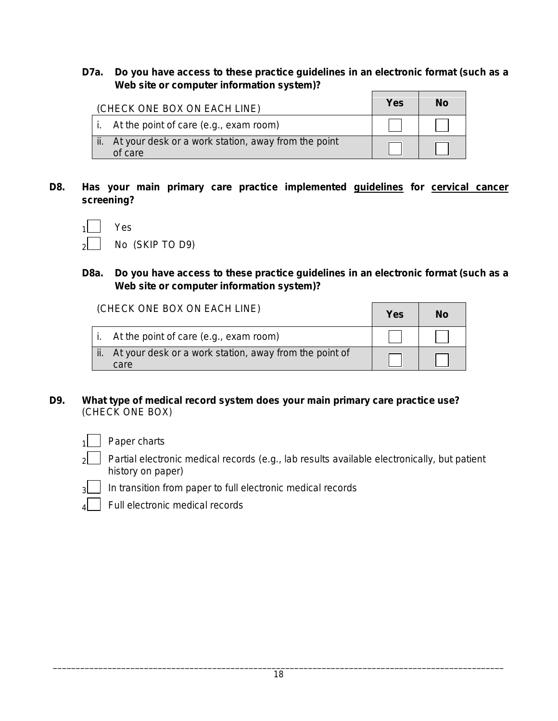**D7a. Do you have access to these practice guidelines in an electronic format (such as a Web site or computer information system)?**   $\blacksquare$ 

| (CHECK ONE BOX ON EACH LINE)                                       | Yes | No |
|--------------------------------------------------------------------|-----|----|
| $\vert$ i. At the point of care (e.g., exam room)                  |     |    |
| ii. At your desk or a work station, away from the point<br>of care |     |    |

**D8. Has your main primary care practice implemented guidelines for cervical cancer screening?** 

| $\mathbf{1}$ | Yes             |
|--------------|-----------------|
|              | No (SKIP TO D9) |

**D8a. Do you have access to these practice guidelines in an electronic format (such as a Web site or computer information system)?**

(CHECK ONE BOX ON EACH LINE) **We are not all that I we have a set of the set of the set of the set of the set of the set of the set of the set of the set of the set of the set of the set of the set of the set of the set of** 

|                                                            | <b>Yes</b> | NO |
|------------------------------------------------------------|------------|----|
| i. At the point of care $(e.g., e x am room)$              |            |    |
| ii. At your desk or a work station, away from the point of |            |    |
| care                                                       |            |    |

**D9. What type of medical record system does your main primary care practice use?**  (CHECK ONE BOX)



- $|z|$  Partial electronic medical records (*e.g.*, lab results available electronically, but patient history on paper)
- $_3$  | In transition from paper to full electronic medical records
- Full electronic medical records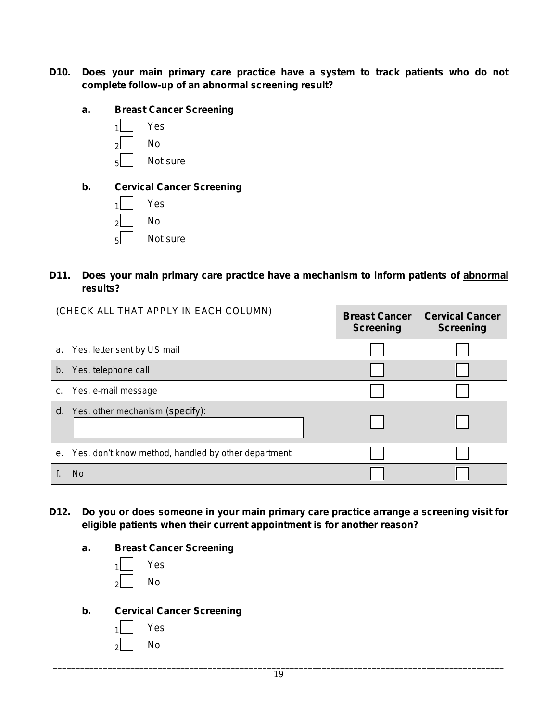- **D10. Does your main primary care practice have a system to track patients who do not complete follow-up of an abnormal screening result?**
	- **a. Breast Cancer Screening**



**b. Cervical Cancer Screening**



## **D11. Does your main primary care practice have a mechanism to inform patients of abnormal results?**

|    | (CHECK ALL THAT APPLY IN EACH COLUMN)               | <b>Breast Cancer</b><br><b>Screening</b> | <b>Cervical Cancer</b><br><b>Screening</b> |
|----|-----------------------------------------------------|------------------------------------------|--------------------------------------------|
| a. | Yes, letter sent by US mail                         |                                          |                                            |
| b. | Yes, telephone call                                 |                                          |                                            |
| c. | Yes, e-mail message                                 |                                          |                                            |
| d. | Yes, other mechanism (specify):                     |                                          |                                            |
| е. | Yes, don't know method, handled by other department |                                          |                                            |
|    | No.                                                 |                                          |                                            |

- **D12. Do you or does someone in your main primary care practice arrange a screening visit for eligible patients when their current appointment is for another reason?**
	- **a. Breast Cancer Screening**
		- $1$  Yes  $2$  No
	- **b. Cervical Cancer Screening**
		- Yes.

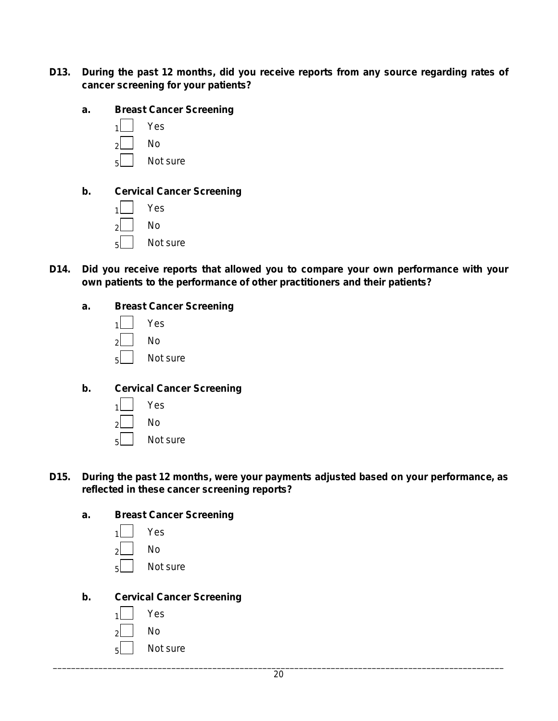- **D13. During the past 12 months, did you receive reports from any source regarding rates of cancer screening for your patients?**
	- **a. Breast Cancer Screening**



## **b. Cervical Cancer Screening**

- $1$  Yes  $2$  No 5 Not sure
- **D14. Did you receive reports that allowed you to compare your own performance with your own patients to the performance of other practitioners and their patients?**

## **a. Breast Cancer Screening**

| 1  | Yes      |
|----|----------|
| 2l | Nο       |
| 5l | Not sure |

#### **b. Cervical Cancer Screening**

| 1  | Yes      |
|----|----------|
| 2  | Nο       |
| 5l | Not sure |

#### **D15. During the past 12 months, were your payments adjusted based on your performance, as reflected in these cancer screening reports?**

#### **a. Breast Cancer Screening**

| $\overline{1}$ | Yes      |
|----------------|----------|
| ار             | Nο       |
| اء<br>ا        | Not sure |

#### **b. Cervical Cancer Screening**

 $1$  Yes  $2$  No  $\mathsf{s}$  | Not sure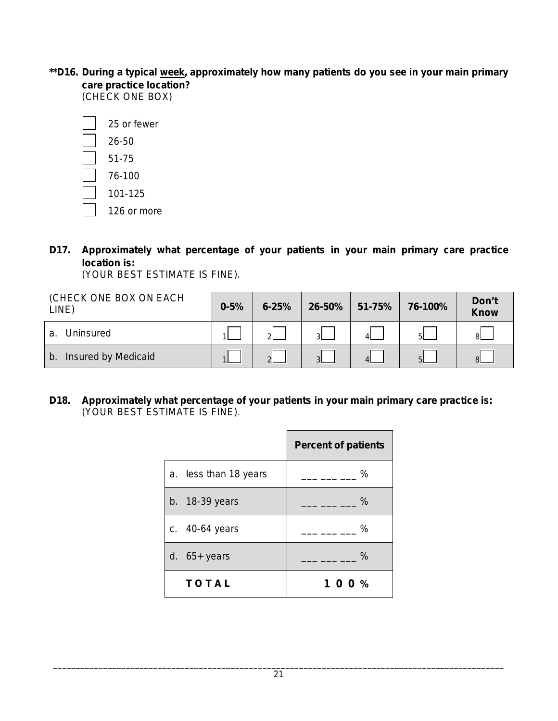\*\*D16. During a typical <u>week,</u> approximately how many patients do you see in your main primary **care practice location?**

(CHECK ONE BOX)

| 25 or fewer |
|-------------|
| 26-50       |
| 51-75       |
| 76-100      |
| 101-125     |
|             |

- $\overline{\phantom{0}}$ 126 or more
- **D17. Approximately what percentage of your patients in your main primary care practice location is:**

(YOUR BEST ESTIMATE IS FINE).

| (CHECK ONE BOX ON EACH<br>LINE)       | $0 - 5%$ | $6 - 25%$      | 26-50%         | $51 - 75%$ | 76-100% | Don't<br><b>Know</b> |
|---------------------------------------|----------|----------------|----------------|------------|---------|----------------------|
| Uninsured<br>a.                       |          | ി              | -31            |            | -5L     | 8I.                  |
| Insured by Medicaid<br>$\mathsf{b}$ . |          | $\overline{2}$ | 3 <sup>L</sup> |            | 5L      | $\mathsf{R}$         |

**D18. Approximately what percentage of your patients in your main primary care practice is:** (YOUR BEST ESTIMATE IS FINE).

|                       | <b>Percent of patients</b> |
|-----------------------|----------------------------|
| a. less than 18 years | %                          |
| b. 18-39 years        | $\%$                       |
| c. 40-64 years        | $\%$                       |
| d. $65+$ years        | $\%$                       |
| <b>TOTAL</b>          | 100%                       |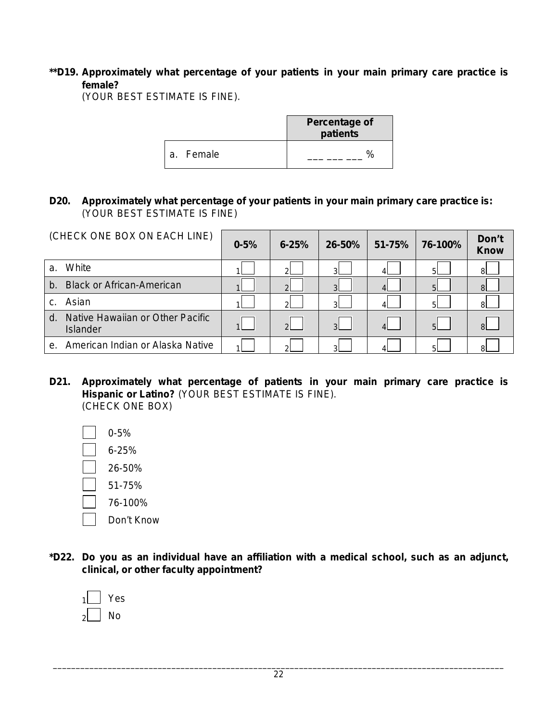## **\*\*D19. Approximately what percentage of your patients in your main primary care practice is female?**

(YOUR BEST ESTIMATE IS FINE).

|           | <b>Percentage of</b><br>patients |
|-----------|----------------------------------|
| a. Female |                                  |

## **D20. Approximately what percentage of your patients in your main primary care practice is:**  (YOUR BEST ESTIMATE IS FINE)

| (CHECK ONE BOX ON EACH LINE)                       | $0 - 5%$ | $6 - 25%$     | 26-50%         | 51-75%   | 76-100%        | Don't<br><b>Know</b> |
|----------------------------------------------------|----------|---------------|----------------|----------|----------------|----------------------|
| White<br>a.                                        |          | ച             | $\mathcal{R}$  |          | 5 <sup>1</sup> | 8I                   |
| <b>Black or African-American</b><br>$b$ .          |          | റി            | $\overline{3}$ |          | 5 <sup>1</sup> | 8I                   |
| Asian<br>C.                                        |          | 21            | 31             |          | 5 <sup>1</sup> | -81                  |
| Native Hawaiian or Other Pacific<br>d.<br>Islander |          | $\mathcal{D}$ | $\mathcal{R}$  | $\Delta$ | $\overline{5}$ | $\mathsf{R}$         |
| American Indian or Alaska Native<br>$e_{1}$        |          | ി             | વ              |          | 51             | я                    |

**D21. Approximately what percentage of patients in your main primary care practice is Hispanic or Latino?** (YOUR BEST ESTIMATE IS FINE). (CHECK ONE BOX)

0-5% 6-25% 26-50% 51-75% 76-100% Don't Know

**\*D22. Do you as an individual have an affiliation with a medical school, such as an adjunct, clinical, or other faculty appointment?**

| $\mathsf{1}$ | es<br>Y |
|--------------|---------|
| ار           | N٥      |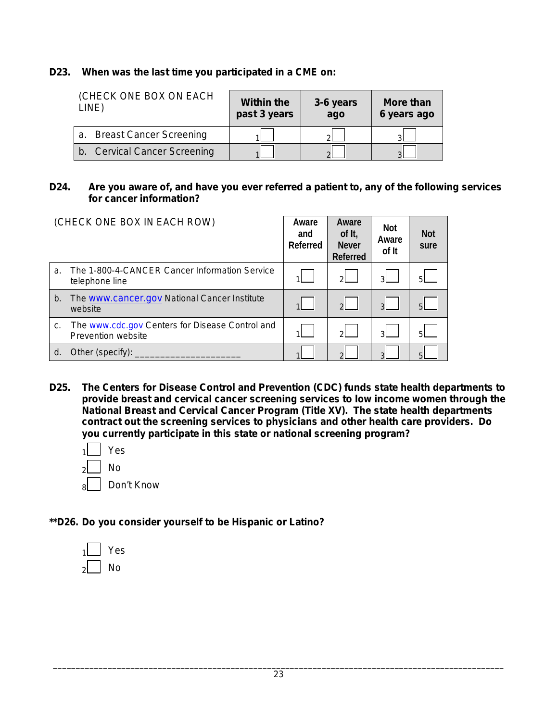## **D23. When was the last time you participated in a CME on:**

| (CHECK ONE BOX ON EACH<br>LINE)      | <b>Within the</b><br>past 3 years | 3-6 years<br>ago | More than<br>6 years ago |
|--------------------------------------|-----------------------------------|------------------|--------------------------|
| <b>Breast Cancer Screening</b><br>a. |                                   |                  | ົ                        |
| b. Cervical Cancer Screening         |                                   |                  |                          |

#### **D24. Are you aware of, and have you ever referred a patient to, any of the following services for cancer information?**

| (CHECK ONE BOX IN EACH ROW) |                                                                       | Aware<br>and<br>Referred | Aware<br>of It,<br><b>Never</b><br>Referred | Not<br>Aware<br>of It | <b>Not</b><br>sure |
|-----------------------------|-----------------------------------------------------------------------|--------------------------|---------------------------------------------|-----------------------|--------------------|
| a.                          | The 1-800-4-CANCER Cancer Information Service<br>telephone line       |                          | $\mathcal{D}$                               | ЗI                    | 5 <sup>1</sup>     |
| b.                          | The <b>WWW.cancer.gov</b> National Cancer Institute<br>website        |                          | $\mathcal{D}$                               | $\mathbf{R}$          | $5 \overline{5}$   |
| C.                          | The www.cdc.gov Centers for Disease Control and<br>Prevention website |                          | ୵                                           | $\mathbf{R}$          | 51                 |
| d.                          | Other <i>(specify)</i> :                                              |                          | $\Omega$                                    | հ                     | 5                  |

- **D25. The Centers for Disease Control and Prevention (CDC) funds state health departments to provide breast and cervical cancer screening services to low income women through the National Breast and Cervical Cancer Program (Title XV). The state health departments contract out the screening services to physicians and other health care providers. Do you currently participate in this state or national screening program?** 
	- $1$  Yes  $\overline{\phantom{a}}$  No 8 Don't Know
- **\*\*D26. Do you consider yourself to be Hispanic or Latino?**

| 1l | es  |
|----|-----|
| 2  | \სი |